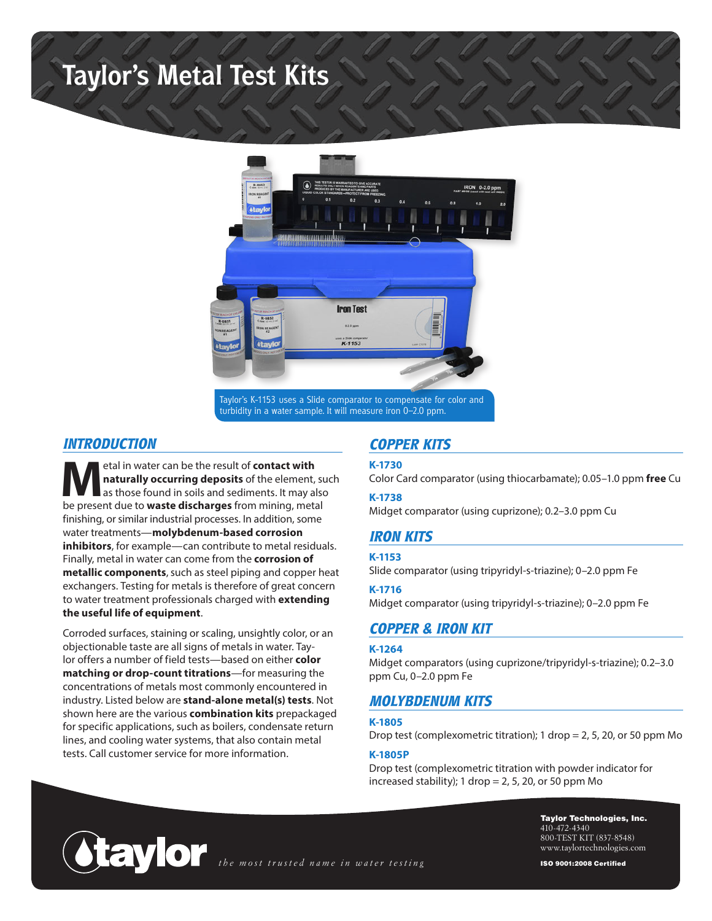# **Taylor's Metal Test Kits**



Taylor's K-1153 uses a Slide comparator to compensate for color and turbidity in a water sample. It will measure iron 0–2.0 ppm.

## *INTRODUCTION*

**Machinaturally occurring deposits of the element, suggest and sediments. It may also<br>
be present due to waste discharges from mining metal naturally occurring deposits** of the element, such be present due to **waste discharges** from mining, metal finishing, or similar industrial processes. In addition, some water treatments—**molybdenum-based corrosion inhibitors**, for example—can contribute to metal residuals. Finally, metal in water can come from the **corrosion of metallic components**, such as steel piping and copper heat exchangers. Testing for metals is therefore of great concern to water treatment professionals charged with **extending the useful life of equipment**.

Corroded surfaces, staining or scaling, unsightly color, or an objectionable taste are all signs of metals in water. Taylor offers a number of field tests—based on either **color matching or drop-count titrations**—for measuring the concentrations of metals most commonly encountered in industry. Listed below are **stand-alone metal(s) tests**. Not shown here are the various **combination kits** prepackaged for specific applications, such as boilers, condensate return lines, and cooling water systems, that also contain metal tests. Call customer service for more information.

## *COPPER KITS*

#### **K-1730**

Color Card comparator (using thiocarbamate); 0.05–1.0 ppm **free** Cu

#### **K-1738**

Midget comparator (using cuprizone); 0.2–3.0 ppm Cu

## *IRON KITS*

#### **K-1153**

Slide comparator (using tripyridyl-s-triazine); 0–2.0 ppm Fe

#### **K-1716**

Midget comparator (using tripyridyl-s-triazine); 0–2.0 ppm Fe

## *COPPER & IRON KIT*

#### **K-1264**

Midget comparators (using cuprizone/tripyridyl-s-triazine); 0.2–3.0 ppm Cu, 0–2.0 ppm Fe

## *MOLYBDENUM KITS*

#### **K-1805**

Drop test (complexometric titration); 1 drop = 2, 5, 20, or 50 ppm Mo

#### **K-1805P**

Drop test (complexometric titration with powder indicator for increased stability);  $1$  drop = 2, 5, 20, or 50 ppm Mo



Taylor Technologies, Inc. 410-472-4340 800-TEST KIT (837-8548) www.taylortechnologies.com

ISO 9001:2008 Certified